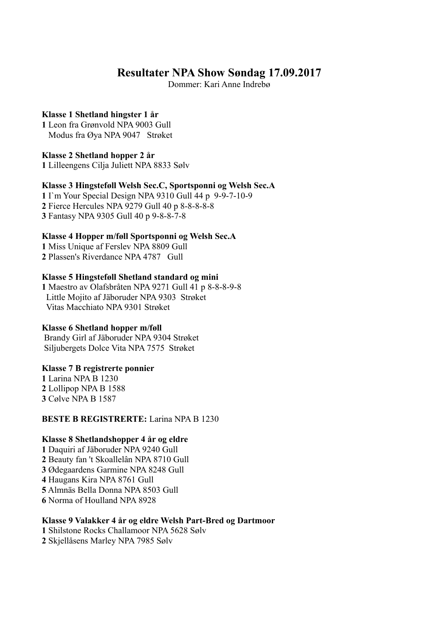## **Resultater NPA Show Søndag 17.09.2017**

Dommer: Kari Anne Indrebø

### **Klasse 1 Shetland hingster 1 år**

**1** Leon fra Grønvold NPA 9003 Gull Modus fra Øya NPA 9047 Strøket

**Klasse 2 Shetland hopper 2 år 1** Lilleengens Cilja Juliett NPA 8833 Sølv

#### **Klasse 3 Hingsteføll Welsh Sec.C, Sportsponni og Welsh Sec.A**

**1** I`m Your Special Design NPA 9310 Gull 44 p 9-9-7-10-9 **2** Fierce Hercules NPA 9279 Gull 40 p 8-8-8-8-8 **3** Fantasy NPA 9305 Gull 40 p 9-8-8-7-8

### **Klasse 4 Hopper m/føll Sportsponni og Welsh Sec.A**

**1** Miss Unique af Ferslev NPA 8809 Gull **2** Plassen's Riverdance NPA 4787 Gull

#### **Klasse 5 Hingsteføll Shetland standard og mini**

**1** Maestro av Olafsbråten NPA 9271 Gull 41 p 8-8-8-9-8 Little Mojito af Jäboruder NPA 9303 Strøket Vitas Macchiato NPA 9301 Strøket

#### **Klasse 6 Shetland hopper m/føll**

 Brandy Girl af Jäboruder NPA 9304 Strøket Siljubergets Dolce Vita NPA 7575 Strøket

#### **Klasse 7 B registrerte ponnier**

**1** Larina NPA B 1230 **2** Lollipop NPA B 1588 **3** Cølve NPA B 1587

#### **BESTE B REGISTRERTE:** Larina NPA B 1230

#### **Klasse 8 Shetlandshopper 4 år og eldre**

 Daquiri af Jäboruder NPA 9240 Gull Beauty fan 't Skoallelân NPA 8710 Gull Ødegaardens Garmine NPA 8248 Gull Haugans Kira NPA 8761 Gull Almnäs Bella Donna NPA 8503 Gull Norma of Houlland NPA 8928

### **Klasse 9 Valakker 4 år og eldre Welsh Part-Bred og Dartmoor**

**1** Shilstone Rocks Challamoor NPA 5628 Sølv **2** Skjellåsens Marley NPA 7985 Sølv